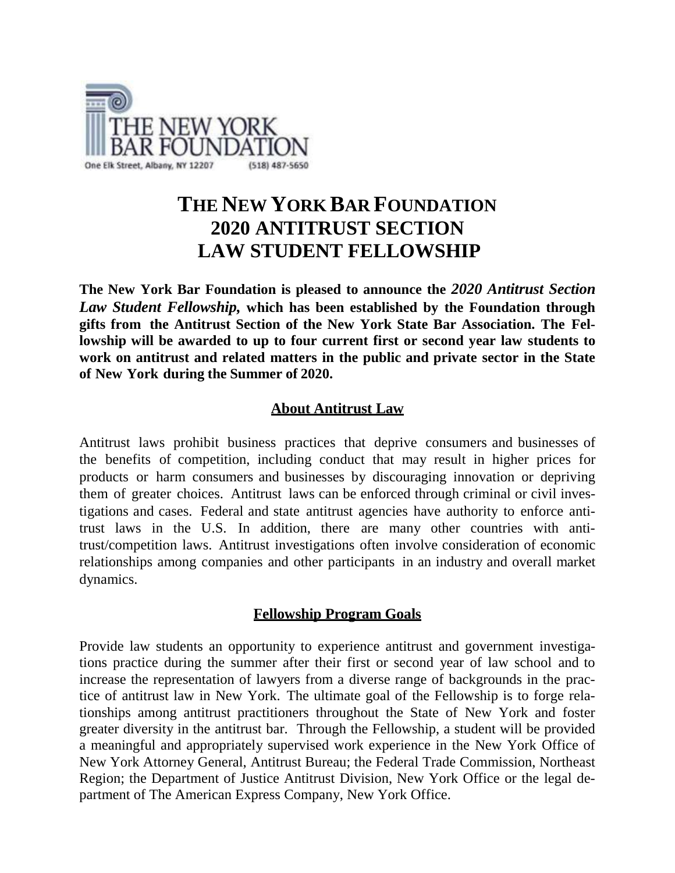

## **THE NEW YORK BAR FOUNDATION 2020 ANTITRUST SECTION LAW STUDENT FELLOWSHIP**

**The New York Bar Foundation is pleased to announce the** *2020 Antitrust Section Law Student Fellowship,* **which has been established by the Foundation through gifts from the Antitrust Section of the New York State Bar Association. The Fellowship will be awarded to up to four current first or second year law students to work on antitrust and related matters in the public and private sector in the State of New York during the Summer of 2020.**

## **About Antitrust Law**

Antitrust laws prohibit business practices that deprive consumers and businesses of the benefits of competition, including conduct that may result in higher prices for products or harm consumers and businesses by discouraging innovation or depriving them of greater choices. Antitrust laws can be enforced through criminal or civil investigations and cases. Federal and state antitrust agencies have authority to enforce antitrust laws in the U.S. In addition, there are many other countries with antitrust/competition laws. Antitrust investigations often involve consideration of economic relationships among companies and other participants in an industry and overall market dynamics.

### **Fellowship Program Goals**

Provide law students an opportunity to experience antitrust and government investigations practice during the summer after their first or second year of law school and to increase the representation of lawyers from a diverse range of backgrounds in the practice of antitrust law in New York. The ultimate goal of the Fellowship is to forge relationships among antitrust practitioners throughout the State of New York and foster greater diversity in the antitrust bar. Through the Fellowship, a student will be provided a meaningful and appropriately supervised work experience in the New York Office of New York Attorney General, Antitrust Bureau; the Federal Trade Commission, Northeast Region; the Department of Justice Antitrust Division, New York Office or the legal department of The American Express Company, New York Office.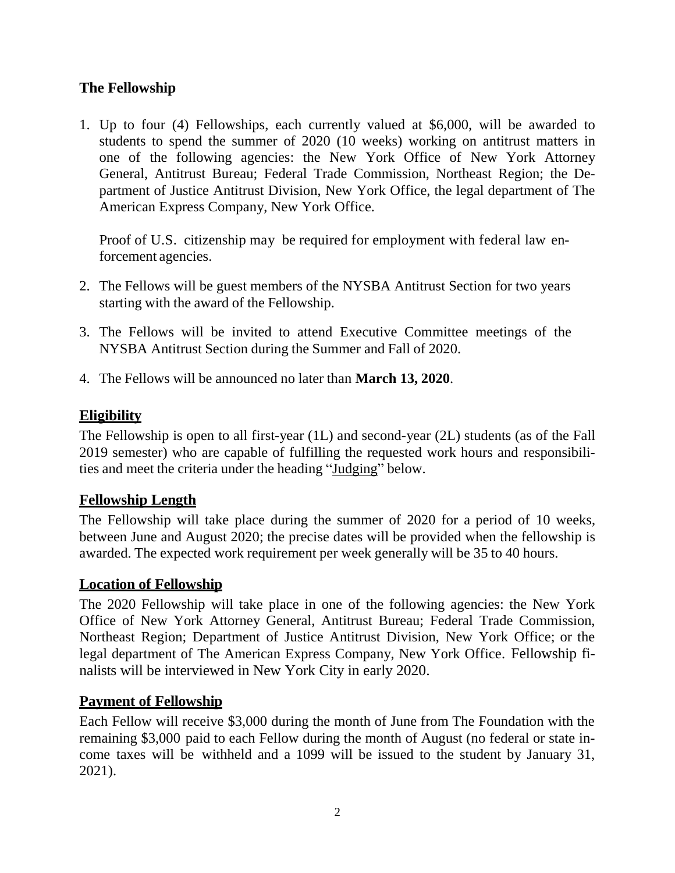## **The Fellowship**

1. Up to four (4) Fellowships, each currently valued at \$6,000, will be awarded to students to spend the summer of 2020 (10 weeks) working on antitrust matters in one of the following agencies: the New York Office of New York Attorney General, Antitrust Bureau; Federal Trade Commission, Northeast Region; the Department of Justice Antitrust Division, New York Office, the legal department of The American Express Company, New York Office.

Proof of U.S. citizenship may be required for employment with federal law enforcement agencies.

- 2. The Fellows will be guest members of the NYSBA Antitrust Section for two years starting with the award of the Fellowship.
- 3. The Fellows will be invited to attend Executive Committee meetings of the NYSBA Antitrust Section during the Summer and Fall of 2020.
- 4. The Fellows will be announced no later than **March 13, 2020**.

### **Eligibility**

The Fellowship is open to all first-year (1L) and second-year (2L) students (as of the Fall 2019 semester) who are capable of fulfilling the requested work hours and responsibilities and meet the criteria under the heading "Judging" below.

### **Fellowship Length**

The Fellowship will take place during the summer of 2020 for a period of 10 weeks, between June and August 2020; the precise dates will be provided when the fellowship is awarded. The expected work requirement per week generally will be 35 to 40 hours.

### **Location of Fellowship**

The 2020 Fellowship will take place in one of the following agencies: the New York Office of New York Attorney General, Antitrust Bureau; Federal Trade Commission, Northeast Region; Department of Justice Antitrust Division, New York Office; or the legal department of The American Express Company, New York Office. Fellowship finalists will be interviewed in New York City in early 2020.

### **Payment of Fellowship**

Each Fellow will receive \$3,000 during the month of June from The Foundation with the remaining \$3,000 paid to each Fellow during the month of August (no federal or state income taxes will be withheld and a 1099 will be issued to the student by January 31, 2021).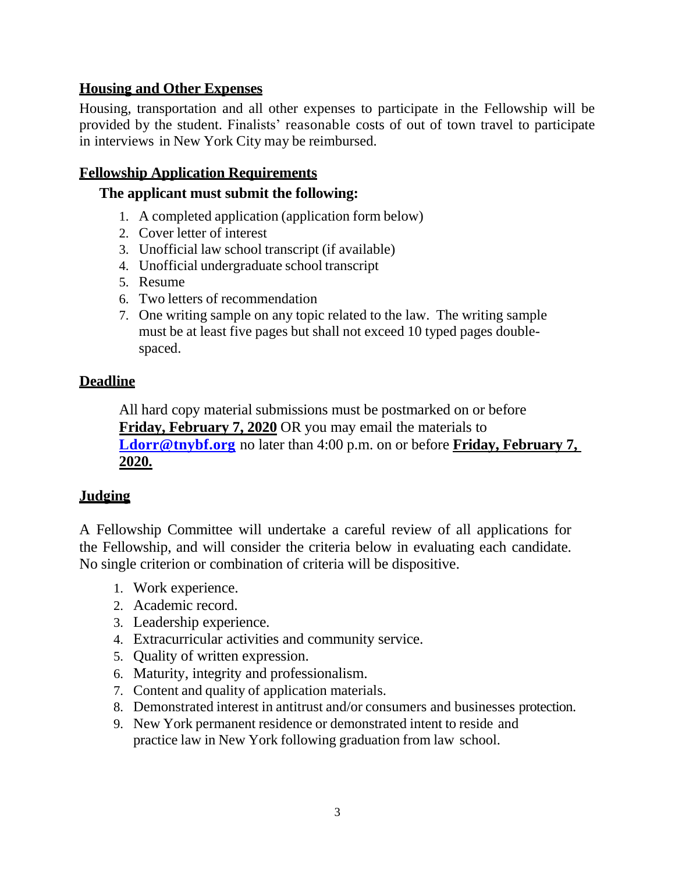## **Housing and Other Expenses**

Housing, transportation and all other expenses to participate in the Fellowship will be provided by the student. Finalists' reasonable costs of out of town travel to participate in interviews in New York City may be reimbursed.

## **Fellowship Application Requirements**

### **The applicant must submit the following:**

- 1. A completed application (application form below)
- 2. Cover letter of interest
- 3. Unofficial law school transcript (if available)
- 4. Unofficial undergraduate school transcript
- 5. Resume
- 6. Two letters of recommendation
- 7. One writing sample on any topic related to the law. The writing sample must be at least five pages but shall not exceed 10 typed pages doublespaced.

## **Deadline**

All hard copy material submissions must be postmarked on or before **Friday, February 7, 2020** OR you may email the materials to **[Ldorr@tnybf.org](mailto:Ldorr@tnybf.org)** no later than 4:00 p.m. on or before **Friday, February 7, 2020.**

## **Judging**

A Fellowship Committee will undertake a careful review of all applications for the Fellowship, and will consider the criteria below in evaluating each candidate. No single criterion or combination of criteria will be dispositive.

- 1. Work experience.
- 2. Academic record.
- 3. Leadership experience.
- 4. Extracurricular activities and community service.
- 5. Quality of written expression.
- 6. Maturity, integrity and professionalism.
- 7. Content and quality of application materials.
- 8. Demonstrated interest in antitrust and/or consumers and businesses protection.
- 9. New York permanent residence or demonstrated intent to reside and practice law in New York following graduation from law school.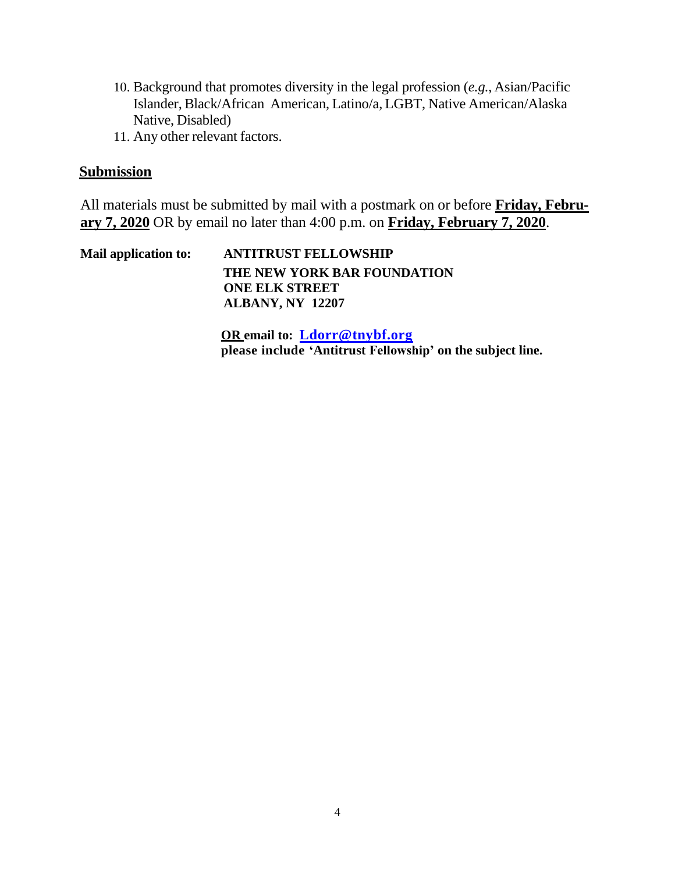- 10. Background that promotes diversity in the legal profession (*e.g.*, Asian/Pacific Islander, Black/African American, Latino/a, LGBT, Native American/Alaska Native, Disabled)
- 11. Any other relevant factors.

### **Submission**

All materials must be submitted by mail with a postmark on or before **Friday, February 7, 2020** OR by email no later than 4:00 p.m. on **Friday, February 7, 2020**.

**Mail application to: ANTITRUST FELLOWSHIP THE NEW YORK BAR FOUNDATION ONE ELK STREET ALBANY, NY 12207**

> **OR email to: [Ldorr@tnybf.org](mailto:Ldorr@tnybf.org) please include 'Antitrust Fellowship' on the subject line.**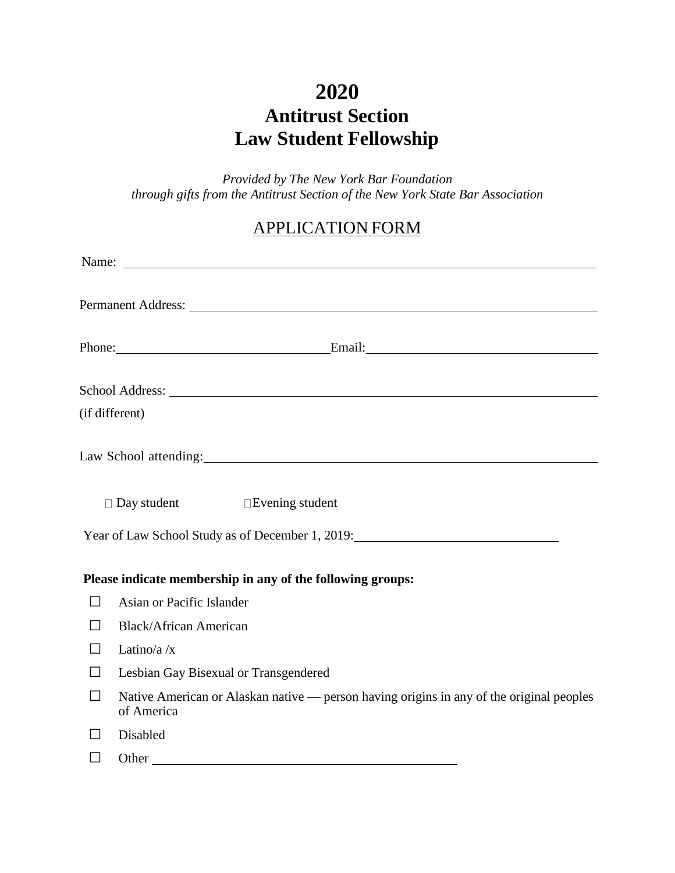# **2020 Antitrust Section Law Student Fellowship**

*Provided by The New York Bar Foundation through gifts from the Antitrust Section of the New York State Bar Association*

## APPLICATION FORM

|                | Name:                                                                                                  |
|----------------|--------------------------------------------------------------------------------------------------------|
|                |                                                                                                        |
|                | Phone: Email: Email:                                                                                   |
|                | School Address: New York Changes and School Address:                                                   |
| (if different) |                                                                                                        |
|                | Law School attending:                                                                                  |
|                | $\Box$ Day student $\Box$ Evening student<br>Year of Law School Study as of December 1, 2019:          |
|                |                                                                                                        |
|                | Please indicate membership in any of the following groups:                                             |
|                | Asian or Pacific Islander                                                                              |
|                | <b>Black/African American</b>                                                                          |
|                | Latino/a $/x$                                                                                          |
|                | Lesbian Gay Bisexual or Transgendered                                                                  |
|                | Native American or Alaskan native - person having origins in any of the original peoples<br>of America |
|                | Disabled                                                                                               |
|                |                                                                                                        |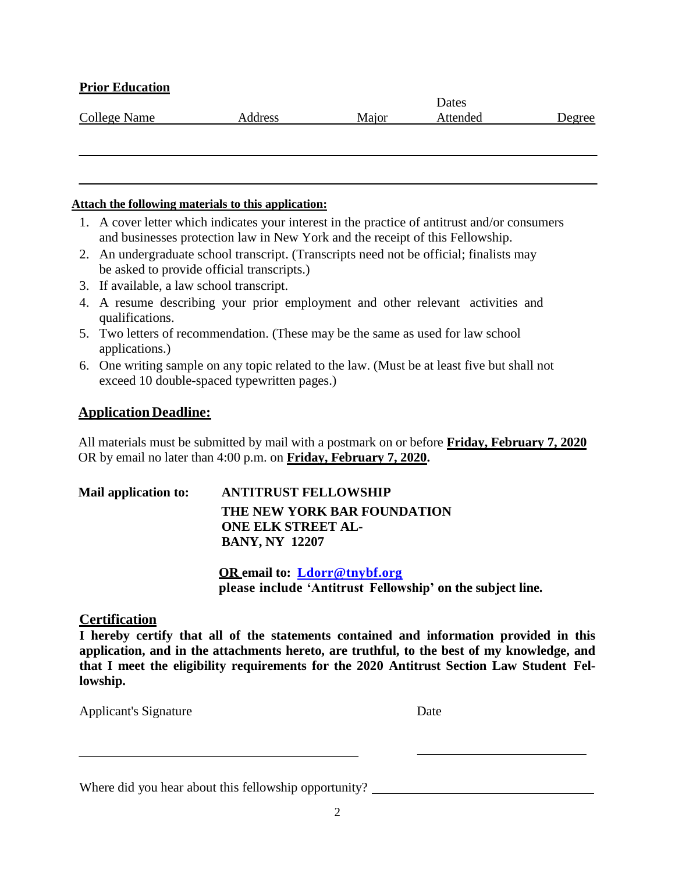### **Prior Education**

|              |         |       | <b>Dates</b> |        |
|--------------|---------|-------|--------------|--------|
| College Name | Address | Maior | Attended     | Degree |

#### **Attach the following materials to this application:**

- 1. A cover letter which indicates your interest in the practice of antitrust and/or consumers and businesses protection law in New York and the receipt of this Fellowship.
- 2. An undergraduate school transcript. (Transcripts need not be official; finalists may be asked to provide official transcripts.)
- 3. If available, a law school transcript.
- 4. A resume describing your prior employment and other relevant activities and qualifications.
- 5. Two letters of recommendation. (These may be the same as used for law school applications.)
- 6. One writing sample on any topic related to the law. (Must be at least five but shall not exceed 10 double-spaced typewritten pages.)

### **Application Deadline:**

All materials must be submitted by mail with a postmark on or before **Friday, February 7, 2020** OR by email no later than 4:00 p.m. on **Friday, February 7, 2020.**

| Mail application to: | <b>ANTITRUST FELLOWSHIP</b> |
|----------------------|-----------------------------|
|                      | THE NEW YORK BAR FOUNDATION |
|                      | <b>ONE ELK STREET AL-</b>   |
|                      | <b>BANY, NY 12207</b>       |

**OR email to: [Ldorr@tnybf.org](mailto:Ldorr@tnybf.org) please include 'Antitrust Fellowship' on the subject line.**

### **Certification**

**I hereby certify that all of the statements contained and information provided in this application, and in the attachments hereto, are truthful, to the best of my knowledge, and that I meet the eligibility requirements for the 2020 Antitrust Section Law Student Fellowship.**

Applicant's Signature Date

| Where did you hear about this fellowship opportunity? |
|-------------------------------------------------------|
|-------------------------------------------------------|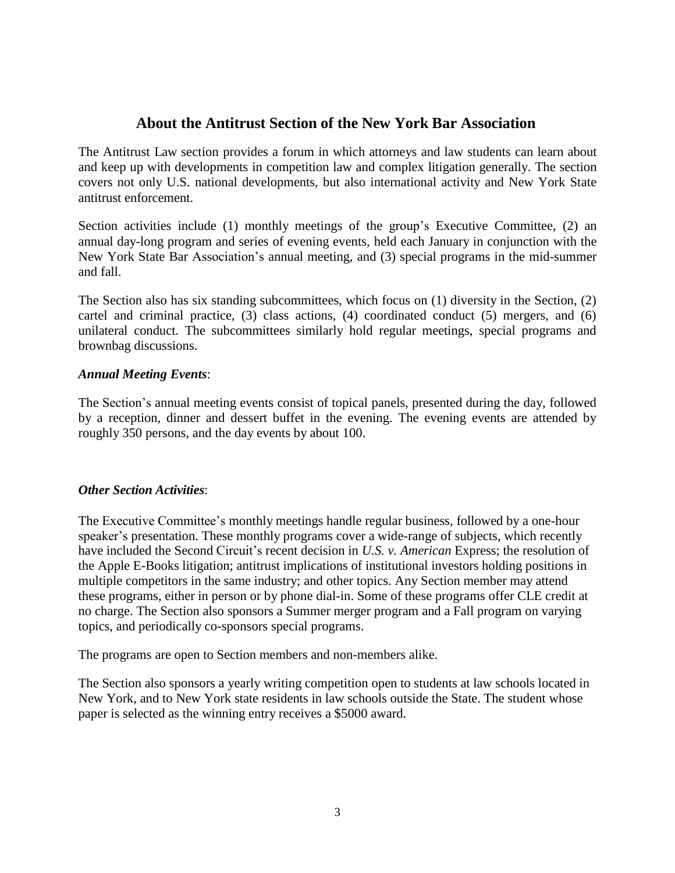## **About the Antitrust Section of the New York Bar Association**

The Antitrust Law section provides a forum in which attorneys and law students can learn about and keep up with developments in competition law and complex litigation generally. The section covers not only U.S. national developments, but also international activity and New York State antitrust enforcement.

Section activities include (1) monthly meetings of the group's Executive Committee, (2) an annual day-long program and series of evening events, held each January in conjunction with the New York State Bar Association's annual meeting, and (3) special programs in the mid-summer and fall.

The Section also has six standing subcommittees, which focus on (1) diversity in the Section, (2) cartel and criminal practice, (3) class actions, (4) coordinated conduct (5) mergers, and (6) unilateral conduct. The subcommittees similarly hold regular meetings, special programs and brownbag discussions.

### *Annual Meeting Events*:

The Section's annual meeting events consist of topical panels, presented during the day, followed by a reception, dinner and dessert buffet in the evening. The evening events are attended by roughly 350 persons, and the day events by about 100.

### *Other Section Activities*:

The Executive Committee's monthly meetings handle regular business, followed by a one-hour speaker's presentation. These monthly programs cover a wide-range of subjects, which recently have included the Second Circuit's recent decision in *U.S. v. American* Express; the resolution of the Apple E-Books litigation; antitrust implications of institutional investors holding positions in multiple competitors in the same industry; and other topics. Any Section member may attend these programs, either in person or by phone dial-in. Some of these programs offer CLE credit at no charge. The Section also sponsors a Summer merger program and a Fall program on varying topics, and periodically co-sponsors special programs.

The programs are open to Section members and non-members alike.

The Section also sponsors a yearly writing competition open to students at law schools located in New York, and to New York state residents in law schools outside the State. The student whose paper is selected as the winning entry receives a \$5000 award.